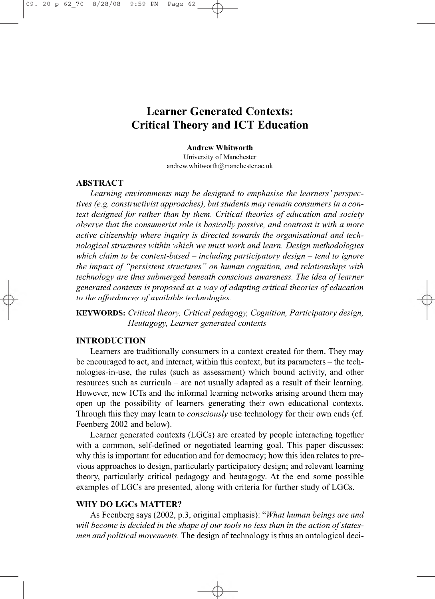# **Learner Generated Contexts: Critical Theory and ICT Education**

*&*

#### **Andrew Whitworth**

University of Manchester [andrew.whitworth@manchester.ac.uk](mailto:andrew.whitworth@manchester.ac.uk)

## **ABSTRACT**

*Learning environments may be designed to emphasise the learners' perspectives (e.g. constructivist approaches), but students may remain consumers in a context designed for rather than by them. Critical theories of education and society observe that the consumerist role is basically passive, and contrast it with a more active citizenship where inquiry is directed towards the organisational and technological structures within which we must work and learn. Design methodologies which claim to be context-based - including participatory design - tend to ignore the impact of "persistent structures" on human cognition, and relationships with* technology are thus submerged beneath conscious awareness. The idea of learner *generated contexts is proposed as a way of adapting critical theories of education to the affordances of available technologies.* 

**KEYWORDS:** *Critical theory, Critical pedagogy, Cognition, Participatory design, Heutagogy, Learner generated contexts*

# **INTRODUCTION**

Learners are traditionally consumers in a context created for them. They may be encouraged to act, and interact, within this context, but its parameters – the technologies-in-use, the rules (such as assessment) which bound activity, and other resources such as curricula – are not usually adapted as a result of their learning. However, new ICTs and the informal learning networks arising around them may open up the possibility of learners generating their own educational contexts. Through this they may learn to *consciously* use technology for their own ends (cf. Feenberg 2002 and below).

Learner generated contexts (LGCs) are created by people interacting together with a common, self-defined or negotiated learning goal. This paper discusses: why this is important for education and for democracy; how this idea relates to previous approaches to design, particularly participatory design; and relevant learning theory, particularly critical pedagogy and heutagogy. At the end some possible examples of LGCs are presented, along with criteria for further study of LGCs.

# **WHY DO LGCs MATTER?**

As Feenberg says (2002, p.3, original emphasis): *"What human beings are and* will become is decided in the shape of our tools no less than in the action of states*men and political movements.* The design of technology is thus an ontological deci-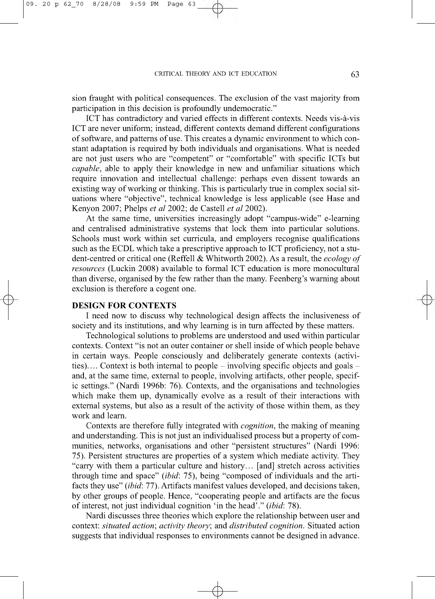#### CRITICAL THEORY AND ICT EDUCATION 63

sion fraught with political consequences. The exclusion of the vast majority from participation in this decision is profoundly undemocratic."

ICT has contradictory and varied effects in different contexts. Needs vis-a-vis ICT are never uniform; instead, different contexts demand different configurations of software, and patterns of use. This creates a dynamic environment to which constant adaptation is required by both individuals and organisations. What is needed are not just users who are "competent" or "comfortable" with specific ICTs but *capable,* able to apply their knowledge in new and unfamiliar situations which require innovation and intellectual challenge: perhaps even dissent towards an existing way of working or thinking. This is particularly true in complex social situations where "objective", technical knowledge is less applicable (see Hase and Kenyon 2007; Phelps *et al* 2002; de Castell *et al* 2002).

At the same time, universities increasingly adopt "campus-wide" e-learning and centralised administrative systems that lock them into particular solutions. Schools must work within set curricula, and employers recognise qualifications such as the ECDL which take a prescriptive approach to ICT proficiency, not a student-centred or critical one (Reffell & Whitworth 2002). As a result, the *ecology of resources* (Luckin 2008) available to formal ICT education is more monocultural than diverse, organised by the few rather than the many. Feenberg's warning about exclusion is therefore a cogent one.

# **DESIGN FOR CONTEXTS**

 $\phi$ 

I need now to discuss why technological design affects the inclusiveness of society and its institutions, and why learning is in turn affected by these matters.

Technological solutions to problems are understood and used within particular contexts. Context "is not an outer container or shell inside of which people behave in certain ways. People consciously and deliberately generate contexts (activities).... Context is both internal to people  $-$  involving specific objects and goals  $$ and, at the same time, external to people, involving artifacts, other people, specific settings." (Nardi 1996b: 76). Contexts, and the organisations and technologies which make them up, dynamically evolve as a result of their interactions with external systems, but also as a result of the activity of those within them, as they work and learn.

Contexts are therefore fully integrated with *cognition,* the making of meaning and understanding. This is not just an individualised process but a property of communities, networks, organisations and other "persistent structures" (Nardi 1996: 75). Persistent structures are properties of a system which mediate activity. They "carry with them a particular culture and history... [and] stretch across activities through time and space" *(ibid:* 75), being "composed of individuals and the artifacts they use" *(ibid:* 77). Artifacts manifest values developed, and decisions taken, by other groups of people. Hence, "cooperating people and artifacts are the focus of interest, not just individual cognition 'in the head'." *(ibid:* 78).

Nardi discusses three theories which explore the relationship between user and context: *situated action; activity theory;* and *distributed cognition.* Situated action suggests that individual responses to environments cannot be designed in advance.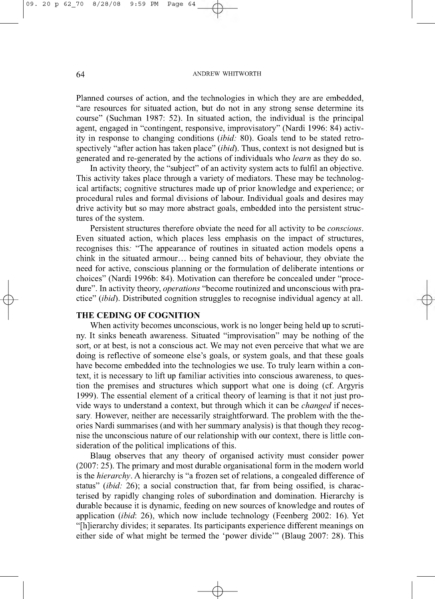#### 64 **ANDREW WHITWORTH**

Planned courses of action, and the technologies in which they are are embedded, "are resources for situated action, but do not in any strong sense determine its course" (Suchman 1987: 52). In situated action, the individual is the principal agent, engaged in "contingent, responsive, improvisatory" (Nardi 1996: 84) activity in response to changing conditions *(ibid:* 80). Goals tend to be stated retrospectively "after action has taken place" *(ibid)*. Thus, context is not designed but is generated and re-generated by the actions of individuals who *learn* as they do so.

In activity theory, the "subject" of an activity system acts to fulfil an objective. This activity takes place through a variety of mediators. These may be technological artifacts; cognitive structures made up of prior knowledge and experience; or procedural rules and formal divisions of labour. Individual goals and desires may drive activity but so may more abstract goals, embedded into the persistent structures of the system.

Persistent structures therefore obviate the need for all activity to be *conscious.* Even situated action, which places less emphasis on the impact of structures, recognises this*:* "The appearance of routines in situated action models opens a chink in the situated armour... being canned bits of behaviour, they obviate the need for active, conscious planning or the formulation of deliberate intentions or choices" (Nardi 1996b: 84). Motivation can therefore be concealed under "procedure". In activity theory, *operations* "become routinized and unconscious with practice" (ibid). Distributed cognition struggles to recognise individual agency at all.

### **THE CEDING OF COGNITION**

When activity becomes unconscious, work is no longer being held up to scrutiny. It sinks beneath awareness. Situated "improvisation" may be nothing of the sort, or at best, is not a conscious act. We may not even perceive that what we are doing is reflective of someone else's goals, or system goals, and that these goals have become embedded into the technologies we use. To truly learn within a context, it is necessary to lift up familiar activities into conscious awareness, to question the premises and structures which support what one is doing (cf. Argyris 1999). The essential element of a critical theory of learning is that it not just provide ways to understand a context, but through which it can be *changed* if necessary. However, neither are necessarily straightforward. The problem with the theories Nardi summarises (and with her summary analysis) is that though they recognise the unconscious nature of our relationship with our context, there is little consideration of the political implications of this.

Blaug observes that any theory of organised activity must consider power (2007: 25). The primary and most durable organisational form in the modern world is the *hierarchy.* A hierarchy is "a frozen set of relations, a congealed difference of status" *(ibid:* 26); a social construction that, far from being ossified, is characterised by rapidly changing roles of subordination and domination. Hierarchy is durable because it is dynamic, feeding on new sources of knowledge and routes of application *(ibid:* 26), which now include technology (Feenberg 2002: 16). Yet "[h]ierarchy divides; it separates. Its participants experience different meanings on either side of what might be termed the 'power divide'" (Blaug 2007: 28). This

 $\downarrow$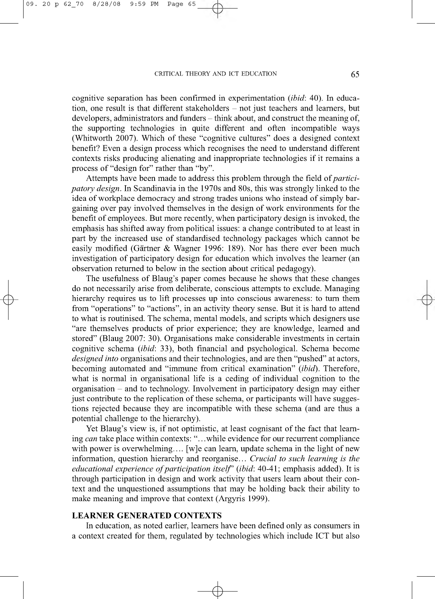#### CRITICAL THEORY AND ICT EDUCATION 65

cognitive separation has been confirmed in experimentation (*ibid*: 40). In education, one result is that different stakeholders – not just teachers and learners, but developers, administrators and funders – think about, and construct the meaning of, the supporting technologies in quite different and often incompatible ways (Whitworth 2007). Which of these "cognitive cultures" does a designed context benefit? Even a design process which recognises the need to understand different contexts risks producing alienating and inappropriate technologies if it remains a process of "design for" rather than "by".

Attempts have been made to address this problem through the field of *participatory design.* In Scandinavia in the 1970s and 80s, this was strongly linked to the idea of workplace democracy and strong trades unions who instead of simply bargaining over pay involved themselves in the design of work environments for the benefit of employees. But more recently, when participatory design is invoked, the emphasis has shifted away from political issues: a change contributed to at least in part by the increased use of standardised technology packages which cannot be easily modified (Gärtner & Wagner 1996: 189). Nor has there ever been much investigation of participatory design for education which involves the learner (an observation returned to below in the section about critical pedagogy).

The usefulness of Blaug's paper comes because he shows that these changes do not necessarily arise from deliberate, conscious attempts to exclude. Managing hierarchy requires us to lift processes up into conscious awareness: to turn them from "operations" to "actions", in an activity theory sense. But it is hard to attend to what is routinised. The schema, mental models, and scripts which designers use "are themselves products of prior experience; they are knowledge, learned and stored" (Blaug 2007: 30). Organisations make considerable investments in certain cognitive schema *(ibid:* 33), both financial and psychological. Schema become *designed into* organisations and their technologies, and are then "pushed" at actors, becoming automated and "immune from critical examination" (*ibid*). Therefore, what is normal in organisational life is a ceding of individual cognition to the organisation - and to technology. Involvement in participatory design may either just contribute to the replication of these schema, or participants will have suggestions rejected because they are incompatible with these schema (and are thus a potential challenge to the hierarchy).

Yet Blaug's view is, if not optimistic, at least cognisant of the fact that learning *can* take place within contexts: " .. .while evidence for our recurrent compliance with power is overwhelming.... [w]e can learn, update schema in the light of new information, question hierarchy and reorganise... *Crucial to such learning is the educational experience of participation itself*' *(ibid: 40-41; emphasis added)*. It is through participation in design and work activity that users learn about their context and the unquestioned assumptions that may be holding back their ability to make meaning and improve that context (Argyris 1999).

## **LEARNER GENERATED CONTEXTS**

In education, as noted earlier, learners have been defined only as consumers in a context created for them, regulated by technologies which include ICT but also

 $\downarrow$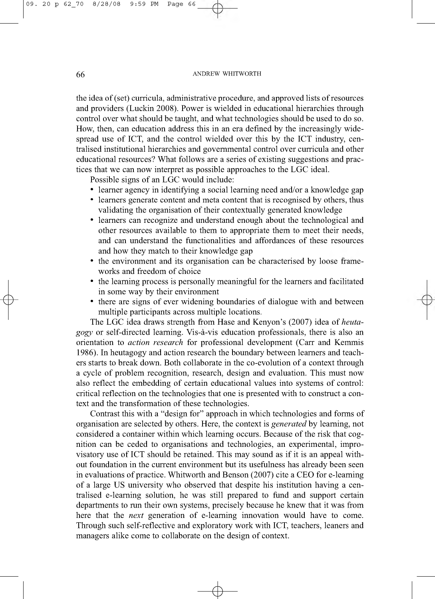#### 66 ANDREW WHITWORTH

the idea of (set) curricula, administrative procedure, and approved lists of resources and providers (Luckin 2008). Power is wielded in educational hierarchies through control over what should be taught, and what technologies should be used to do so. How, then, can education address this in an era defined by the increasingly widespread use of ICT, and the control wielded over this by the ICT industry, centralised institutional hierarchies and governmental control over curricula and other educational resources? What follows are a series of existing suggestions and practices that we can now interpret as possible approaches to the LGC ideal.

Possible signs of an LGC would include:

- learner agency in identifying a social learning need and/or a knowledge gap
- learners generate content and meta content that is recognised by others, thus validating the organisation of their contextually generated knowledge
- learners can recognize and understand enough about the technological and other resources available to them to appropriate them to meet their needs, and can understand the functionalities and affordances of these resources and how they match to their knowledge gap
- the environment and its organisation can be characterised by loose frameworks and freedom of choice
- the learning process is personally meaningful for the learners and facilitated in some way by their environment
- there are signs of ever widening boundaries of dialogue with and between multiple participants across multiple locations.

The LGC idea draws strength from Hase and Kenyon's (2007) idea of *heutagogy* or self-directed learning. Vis-a-vis education professionals, there is also an orientation to *action research* for professional development (Carr and Kemmis 1986). In heutagogy and action research the boundary between learners and teachers starts to break down. Both collaborate in the co-evolution of a context through a cycle of problem recognition, research, design and evaluation. This must now also reflect the embedding of certain educational values into systems of control: critical reflection on the technologies that one is presented with to construct a context and the transformation of these technologies.

Contrast this with a "design for" approach in which technologies and forms of organisation are selected by others. Here, the context is *generated* by learning, not considered a container within which learning occurs. Because of the risk that cognition can be ceded to organisations and technologies, an experimental, improvisatory use of ICT should be retained. This may sound as if it is an appeal without foundation in the current environment but its usefulness has already been seen in evaluations of practice. Whitworth and Benson (2007) cite a CEO for e-learning of a large US university who observed that despite his institution having a centralised e-learning solution, he was still prepared to fund and support certain departments to run their own systems, precisely because he knew that it was from here that the *next* generation of e-learning innovation would have to come. Through such self-reflective and exploratory work with ICT, teachers, leaners and managers alike come to collaborate on the design of context.

 $\downarrow$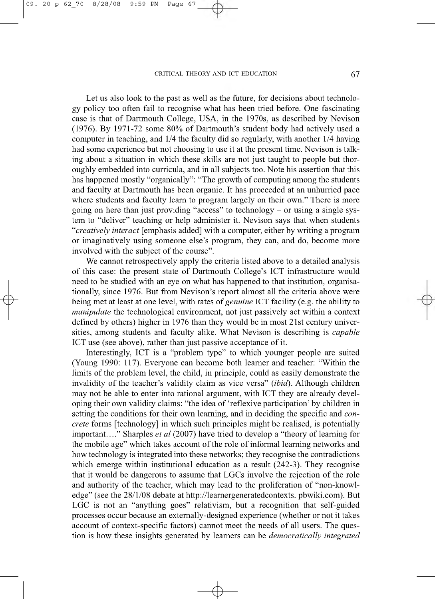#### CRITICAL THEORY AND ICT EDUCATION 67

 $\phi$ 

Let us also look to the past as well as the future, for decisions about technology policy too often fail to recognise what has been tried before. One fascinating case is that of Dartmouth College, USA, in the 1970s, as described by Nevison (1976). By 1971-72 some 80% of Dartmouth's student body had actively used a computer in teaching, and 1/4 the faculty did so regularly, with another 1/4 having had some experience but not choosing to use it at the present time. Nevison is talking about a situation in which these skills are not just taught to people but thoroughly embedded into curricula, and in all subjects too. Note his assertion that this has happened mostly "organically": "The growth of computing among the students and faculty at Dartmouth has been organic. It has proceeded at an unhurried pace where students and faculty learn to program largely on their own." There is more going on here than just providing "access" to technology  $-$  or using a single system to "deliver" teaching or help administer it. Nevison says that when students "*creatively interact* [emphasis added] with a computer, either by writing a program or imaginatively using someone else's program, they can, and do, become more involved with the subject of the course".

We cannot retrospectively apply the criteria listed above to a detailed analysis of this case: the present state of Dartmouth College's ICT infrastructure would need to be studied with an eye on what has happened to that institution, organisationally, since 1976. But from Nevison's report almost all the criteria above were being met at least at one level, with rates of *genuine* ICT facility (e.g. the ability to *manipulate* the technological environment, not just passively act within a context defined by others) higher in 1976 than they would be in most 21st century universities, among students and faculty alike. What Nevison is describing is *capable* ICT use (see above), rather than just passive acceptance of it.

Interestingly, ICT is a "problem type" to which younger people are suited (Young 1990: 117). Everyone can become both learner and teacher: "Within the limits of the problem level, the child, in principle, could as easily demonstrate the invalidity of the teacher's validity claim as vice versa" *(ibid).* Although children may not be able to enter into rational argument, with ICT they are already developing their own validity claims: "the idea of 'reflexive participation' by children in setting the conditions for their own learning, and in deciding the specific and *concrete* forms [technology] in which such principles might be realised, is potentially important...." Sharples *et al* (2007) have tried to develop a "theory of learning for the mobile age" which takes account of the role of informal learning networks and how technology is integrated into these networks; they recognise the contradictions which emerge within institutional education as a result (242-3). They recognise that it would be dangerous to assume that LGCs involve the rejection of the role and authority of the teacher, which may lead to the proliferation of "non-knowledge" (see the 28/1/08 debate at [http://learnergeneratedcontexts.](http://learnergeneratedcontexts) pbwiki.com). But LGC is not an "anything goes" relativism, but a recognition that self-guided processes occur because an externally-designed experience (whether or not it takes account of context-specific factors) cannot meet the needs of all users. The question is how these insights generated by learners can be *democratically integrated*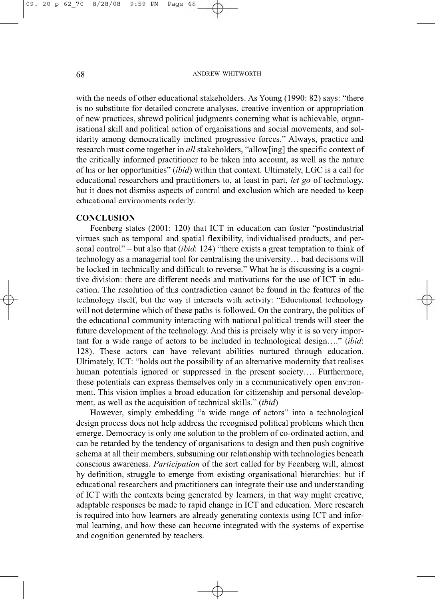#### 68 ANDREW WHITWORTH

with the needs of other educational stakeholders. As Young (1990: 82) says: "there is no substitute for detailed concrete analyses, creative invention or appropriation of new practices, shrewd political judgments conerning what is achievable, organisational skill and political action of organisations and social movements, and solidarity among democratically inclined progressive forces." Always, practice and research must come together in *all* stakeholders, "allow[ing] the specific context of the critically informed practitioner to be taken into account, as well as the nature of his or her opportunities" *(ibid)* within that context. Ultimately, LGC is a call for educational researchers and practitioners to, at least in part, *let go* of technology, but it does not dismiss aspects of control and exclusion which are needed to keep educational environments orderly.

### **CONCLUSION**

 $\phi$ 

Feenberg states (2001: 120) that ICT in education can foster "postindustrial virtues such as temporal and spatial flexibility, individualised products, and personal control" - but also that *(ibid:* 124) "there exists a great temptation to think of technology as a managerial tool for centralising the university... bad decisions will be locked in technically and difficult to reverse." What he is discussing is a cognitive division: there are different needs and motivations for the use of ICT in education. The resolution of this contradiction cannot be found in the features of the technology itself, but the way it interacts with activity: "Educational technology will not determine which of these paths is followed. On the contrary, the politics of the educational community interacting with national political trends will steer the future development of the technology. And this is prcisely why it is so very important for a wide range of actors to be included in technological design...." *(ibid:* 128). These actors can have relevant abilities nurtured through education. Ultimately, ICT: "holds out the possibility of an alternative modernity that realises human potentials ignored or suppressed in the present society.... Furthermore, these potentials can express themselves only in a communicatively open environment. This vision implies a broad education for citizenship and personal development, as well as the acquisition of technical skills." *(ibid)*

However, simply embedding "a wide range of actors" into a technological design process does not help address the recognised political problems which then emerge. Democracy is only one solution to the problem of co-ordinated action, and can be retarded by the tendency of organisations to design and then push cognitive schema at all their members, subsuming our relationship with technologies beneath conscious awareness. *Participation* of the sort called for by Feenberg will, almost by definition, struggle to emerge from existing organisational hierarchies: but if educational researchers and practitioners can integrate their use and understanding of ICT with the contexts being generated by learners, in that way might creative, adaptable responses be made to rapid change in ICT and education. More research is required into how learners are already generating contexts using ICT and informal learning, and how these can become integrated with the systems of expertise and cognition generated by teachers.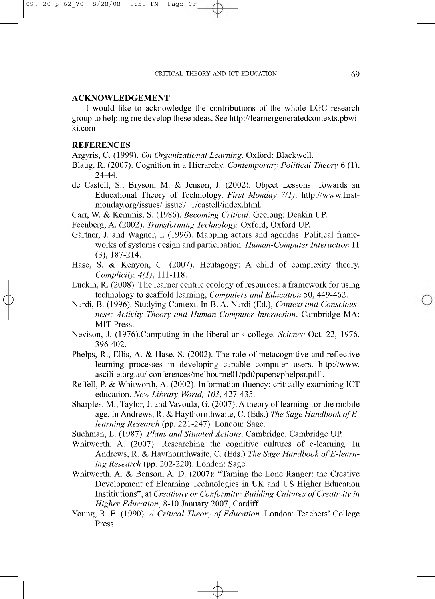# **ACKNOWLEDGEMENT**

I would like to acknowledge the contributions of the whole LGC research group to helping me develop these ideas. See [http://learnergeneratedcontexts.pbwi](http://learnergeneratedcontexts.pbwi-)ki.com

# **REFERENCES**

 $\phi$ 

Argyris, C. (1999). *On Organizational Learning.* Oxford: Blackwell.

- Blaug, R. (2007). Cognition in a Hierarchy. *Contemporary Political Theory* 6 (1), 24-44.
- de Castell, S., Bryson, M. & Jenson, J. (2002). Object Lessons: Towards an Educational Theory of Technology. *First Monday 7(1):* [http://www.first](http://www.first-)monday.org/issues/ issue7\_1/castell/index.html.
- Carr, W. & Kemmis, S. (1986). *Becoming Critical.* Geelong: Deakin UP.

Feenberg, A. (2002). *Transforming Technology.* Oxford, Oxford UP.

- Gärtner, J. and Wagner, I. (1996). Mapping actors and agendas: Political frameworks of systems design and participation. *Human-Computer Interaction* 11 (3), 187-214.
- Hase, S. & Kenyon, C. (2007). Heutagogy: A child of complexity theory. *Complicity, 4(1),* 111-118.
- Luckin, R. (2008). The learner centric ecology of resources: a framework for using technology to scaffold learning, *Computers and Education* 50, 449-462.
- Nardi, B. (1996). Studying Context. In B. A. Nardi (Ed.), *Context and Consciousness: Activity Theory and Human-Computer Interaction.* Cambridge MA: MIT Press.
- Nevison, J. (1976).Computing in the liberal arts college. *Science* Oct. 22, 1976, 396-402.
- Phelps, R., Ellis, A. & Hase, S. (2002). The role of metacognitive and reflective learning processes in developing capable computer users. <http://www>. ascilite.org.au/ conferences/melbourne01/pdf/papers/phelpsr.pdf .
- Reffell, P. & Whitworth, A. (2002). Information fluency: critically examining ICT education. *New Library World, 103,* 427-435.
- Sharples, M., Taylor, J. and Vavoula, G, (2007). A theory of learning for the mobile age. In Andrews, R. & Haythornthwaite, C. (Eds.) *The Sage Handbook of Elearning Research* (pp. 221-247). London: Sage.
- Suchman, L. (1987). *Plans and Situated Actions.* Cambridge, Cambridge UP.
- Whitworth, A. (2007). Researching the cognitive cultures of e-learning. In Andrews, R. & Haythornthwaite, C. (Eds.) The Sage Handbook of E-learn*ing Research* (pp. 202-220). London: Sage.
- Whitworth, A. & Benson, A. D. (2007): "Taming the Lone Ranger: the Creative Development of Elearning Technologies in UK and US Higher Education Institiutions", at *Creativity or Conformity: Building Cultures of Creativity in Higher Education,* 8-10 January 2007, Cardiff.
- Young, R. E. (1990). *A Critical Theory of Education*. London: Teachers' College Press.